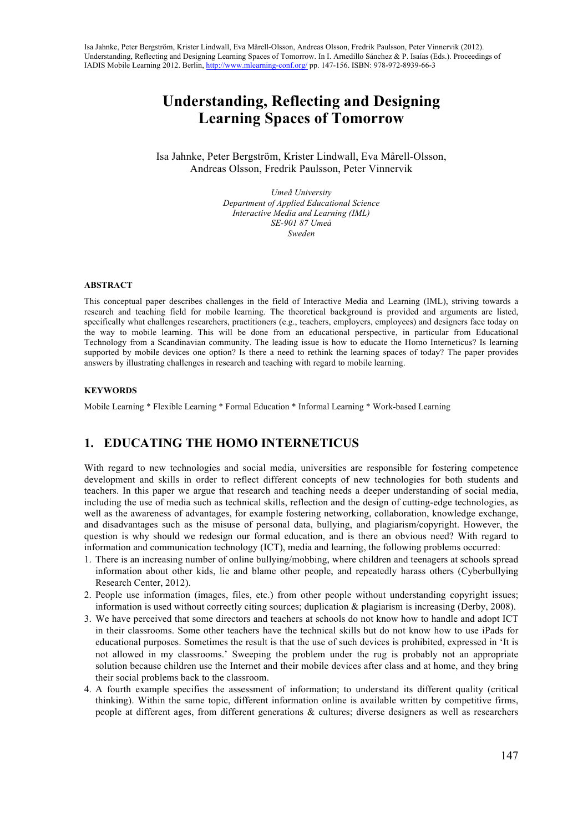# **Understanding, Reflecting and Designing Learning Spaces of Tomorrow**

Isa Jahnke, Peter Bergström, Krister Lindwall, Eva Mårell-Olsson, Andreas Olsson, Fredrik Paulsson, Peter Vinnervik

> *Umeå University Department of Applied Educational Science Interactive Media and Learning (IML) SE-901 87 Umeå Sweden*

#### **ABSTRACT**

This conceptual paper describes challenges in the field of Interactive Media and Learning (IML), striving towards a research and teaching field for mobile learning. The theoretical background is provided and arguments are listed, specifically what challenges researchers, practitioners (e.g., teachers, employers, employees) and designers face today on the way to mobile learning. This will be done from an educational perspective, in particular from Educational Technology from a Scandinavian community. The leading issue is how to educate the Homo Interneticus? Is learning supported by mobile devices one option? Is there a need to rethink the learning spaces of today? The paper provides answers by illustrating challenges in research and teaching with regard to mobile learning.

#### **KEYWORDS**

Mobile Learning \* Flexible Learning \* Formal Education \* Informal Learning \* Work-based Learning

# **1. EDUCATING THE HOMO INTERNETICUS**

With regard to new technologies and social media, universities are responsible for fostering competence development and skills in order to reflect different concepts of new technologies for both students and teachers. In this paper we argue that research and teaching needs a deeper understanding of social media, including the use of media such as technical skills, reflection and the design of cutting-edge technologies, as well as the awareness of advantages, for example fostering networking, collaboration, knowledge exchange, and disadvantages such as the misuse of personal data, bullying, and plagiarism/copyright. However, the question is why should we redesign our formal education, and is there an obvious need? With regard to information and communication technology (ICT), media and learning, the following problems occurred:

- 1. There is an increasing number of online bullying/mobbing, where children and teenagers at schools spread information about other kids, lie and blame other people, and repeatedly harass others (Cyberbullying Research Center, 2012).
- 2. People use information (images, files, etc.) from other people without understanding copyright issues; information is used without correctly citing sources; duplication & plagiarism is increasing (Derby, 2008).
- 3. We have perceived that some directors and teachers at schools do not know how to handle and adopt ICT in their classrooms. Some other teachers have the technical skills but do not know how to use iPads for educational purposes. Sometimes the result is that the use of such devices is prohibited, expressed in 'It is not allowed in my classrooms.' Sweeping the problem under the rug is probably not an appropriate solution because children use the Internet and their mobile devices after class and at home, and they bring their social problems back to the classroom.
- 4. A fourth example specifies the assessment of information; to understand its different quality (critical thinking). Within the same topic, different information online is available written by competitive firms, people at different ages, from different generations & cultures; diverse designers as well as researchers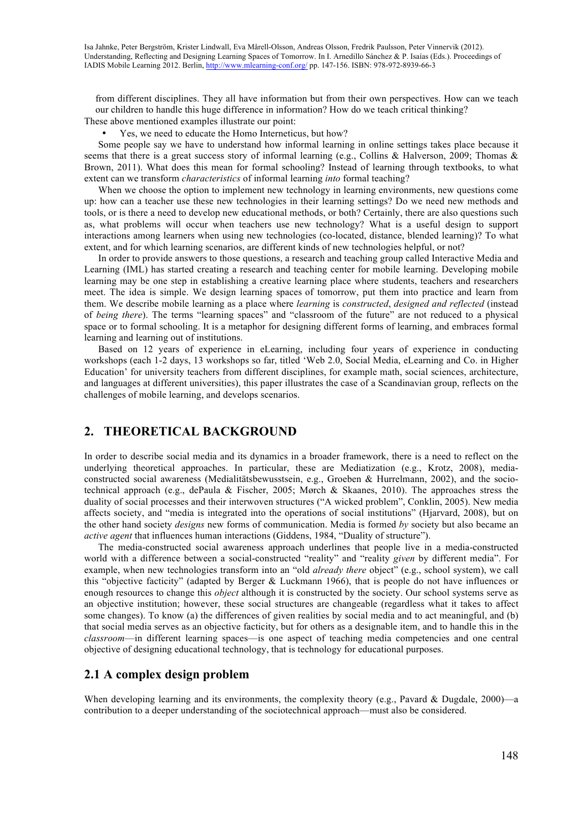from different disciplines. They all have information but from their own perspectives. How can we teach our children to handle this huge difference in information? How do we teach critical thinking? These above mentioned examples illustrate our point:

• Yes, we need to educate the Homo Interneticus, but how?

Some people say we have to understand how informal learning in online settings takes place because it seems that there is a great success story of informal learning (e.g., Collins & Halverson, 2009; Thomas & Brown, 2011). What does this mean for formal schooling? Instead of learning through textbooks, to what extent can we transform *characteristics* of informal learning *into* formal teaching?

When we choose the option to implement new technology in learning environments, new questions come up: how can a teacher use these new technologies in their learning settings? Do we need new methods and tools, or is there a need to develop new educational methods, or both? Certainly, there are also questions such as, what problems will occur when teachers use new technology? What is a useful design to support interactions among learners when using new technologies (co-located, distance, blended learning)? To what extent, and for which learning scenarios, are different kinds of new technologies helpful, or not?

In order to provide answers to those questions, a research and teaching group called Interactive Media and Learning (IML) has started creating a research and teaching center for mobile learning. Developing mobile learning may be one step in establishing a creative learning place where students, teachers and researchers meet. The idea is simple. We design learning spaces of tomorrow, put them into practice and learn from them. We describe mobile learning as a place where *learning* is *constructed*, *designed and reflected* (instead of *being there*). The terms "learning spaces" and "classroom of the future" are not reduced to a physical space or to formal schooling. It is a metaphor for designing different forms of learning, and embraces formal learning and learning out of institutions.

Based on 12 years of experience in eLearning, including four years of experience in conducting workshops (each 1-2 days, 13 workshops so far, titled 'Web 2.0, Social Media, eLearning and Co. in Higher Education' for university teachers from different disciplines, for example math, social sciences, architecture, and languages at different universities), this paper illustrates the case of a Scandinavian group, reflects on the challenges of mobile learning, and develops scenarios.

# **2. THEORETICAL BACKGROUND**

In order to describe social media and its dynamics in a broader framework, there is a need to reflect on the underlying theoretical approaches. In particular, these are Mediatization (e.g., Krotz, 2008), mediaconstructed social awareness (Medialitätsbewusstsein, e.g., Groeben & Hurrelmann, 2002), and the sociotechnical approach (e.g., dePaula & Fischer, 2005; Mørch & Skaanes, 2010). The approaches stress the duality of social processes and their interwoven structures ("A wicked problem", Conklin, 2005). New media affects society, and "media is integrated into the operations of social institutions" (Hjarvard, 2008), but on the other hand society *designs* new forms of communication. Media is formed *by* society but also became an *active agent* that influences human interactions (Giddens, 1984, "Duality of structure").

The media-constructed social awareness approach underlines that people live in a media-constructed world with a difference between a social-constructed "reality" and "reality *given* by different media". For example, when new technologies transform into an "old *already there* object" (e.g., school system), we call this "objective facticity" (adapted by Berger & Luckmann 1966), that is people do not have influences or enough resources to change this *object* although it is constructed by the society. Our school systems serve as an objective institution; however, these social structures are changeable (regardless what it takes to affect some changes). To know (a) the differences of given realities by social media and to act meaningful, and (b) that social media serves as an objective facticity, but for others as a designable item, and to handle this in the *classroom*—in different learning spaces—is one aspect of teaching media competencies and one central objective of designing educational technology, that is technology for educational purposes.

### **2.1 A complex design problem**

When developing learning and its environments, the complexity theory (e.g., Pavard & Dugdale,  $2000$ )—a contribution to a deeper understanding of the sociotechnical approach—must also be considered.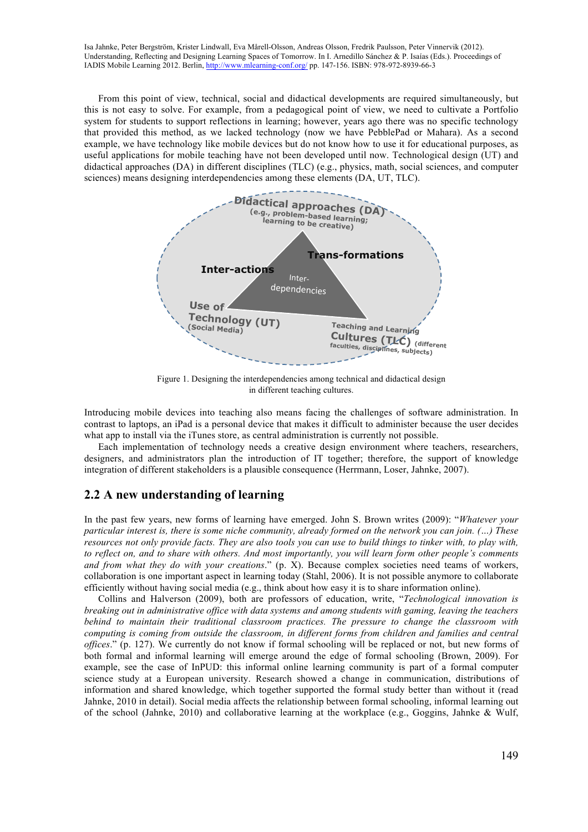From this point of view, technical, social and didactical developments are required simultaneously, but this is not easy to solve. For example, from a pedagogical point of view, we need to cultivate a Portfolio system for students to support reflections in learning; however, years ago there was no specific technology that provided this method, as we lacked technology (now we have PebblePad or Mahara). As a second example, we have technology like mobile devices but do not know how to use it for educational purposes, as useful applications for mobile teaching have not been developed until now. Technological design (UT) and didactical approaches (DA) in different disciplines (TLC) (e.g., physics, math, social sciences, and computer sciences) means designing interdependencies among these elements (DA, UT, TLC).



Figure 1. Designing the interdependencies among technical and didactical design in different teaching cultures.

Introducing mobile devices into teaching also means facing the challenges of software administration. In contrast to laptops, an iPad is a personal device that makes it difficult to administer because the user decides what app to install via the iTunes store, as central administration is currently not possible.

Each implementation of technology needs a creative design environment where teachers, researchers, designers, and administrators plan the introduction of IT together; therefore, the support of knowledge integration of different stakeholders is a plausible consequence (Herrmann, Loser, Jahnke, 2007).

# **2.2 A new understanding of learning**

In the past few years, new forms of learning have emerged. John S. Brown writes (2009): "*Whatever your particular interest is, there is some niche community, already formed on the network you can join. (…) These resources not only provide facts. They are also tools you can use to build things to tinker with, to play with, to reflect on, and to share with others. And most importantly, you will learn form other people's comments and from what they do with your creations*." (p. X). Because complex societies need teams of workers, collaboration is one important aspect in learning today (Stahl, 2006). It is not possible anymore to collaborate efficiently without having social media (e.g., think about how easy it is to share information online).

Collins and Halverson (2009), both are professors of education, write, "*Technological innovation is breaking out in administrative office with data systems and among students with gaming, leaving the teachers behind to maintain their traditional classroom practices. The pressure to change the classroom with computing is coming from outside the classroom, in different forms from children and families and central offices*." (p. 127). We currently do not know if formal schooling will be replaced or not, but new forms of both formal and informal learning will emerge around the edge of formal schooling (Brown, 2009). For example, see the case of InPUD: this informal online learning community is part of a formal computer science study at a European university. Research showed a change in communication, distributions of information and shared knowledge, which together supported the formal study better than without it (read Jahnke, 2010 in detail). Social media affects the relationship between formal schooling, informal learning out of the school (Jahnke, 2010) and collaborative learning at the workplace (e.g., Goggins, Jahnke & Wulf,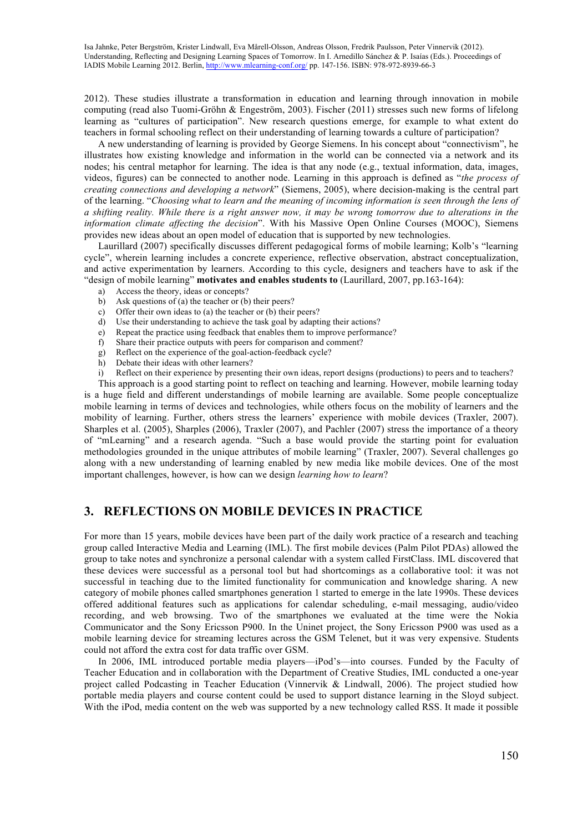2012). These studies illustrate a transformation in education and learning through innovation in mobile computing (read also Tuomi-Gröhn & Engeström, 2003). Fischer (2011) stresses such new forms of lifelong learning as "cultures of participation". New research questions emerge, for example to what extent do teachers in formal schooling reflect on their understanding of learning towards a culture of participation?

A new understanding of learning is provided by George Siemens. In his concept about "connectivism", he illustrates how existing knowledge and information in the world can be connected via a network and its nodes; his central metaphor for learning. The idea is that any node (e.g., textual information, data, images, videos, figures) can be connected to another node. Learning in this approach is defined as "*the process of creating connections and developing a network*" (Siemens, 2005), where decision-making is the central part of the learning. "*Choosing what to learn and the meaning of incoming information is seen through the lens of a shifting reality. While there is a right answer now, it may be wrong tomorrow due to alterations in the information climate affecting the decision*". With his Massive Open Online Courses (MOOC), Siemens provides new ideas about an open model of education that is supported by new technologies.

Laurillard (2007) specifically discusses different pedagogical forms of mobile learning; Kolb's "learning cycle", wherein learning includes a concrete experience, reflective observation, abstract conceptualization, and active experimentation by learners. According to this cycle, designers and teachers have to ask if the "design of mobile learning" **motivates and enables students to** (Laurillard, 2007, pp.163-164):

- a) Access the theory, ideas or concepts?
- b) Ask questions of (a) the teacher or (b) their peers?
- c) Offer their own ideas to (a) the teacher or (b) their peers?
- d) Use their understanding to achieve the task goal by adapting their actions?
- e) Repeat the practice using feedback that enables them to improve performance?
- f) Share their practice outputs with peers for comparison and comment?
- g) Reflect on the experience of the goal-action-feedback cycle?
- h) Debate their ideas with other learners?
- i) Reflect on their experience by presenting their own ideas, report designs (productions) to peers and to teachers?

This approach is a good starting point to reflect on teaching and learning. However, mobile learning today is a huge field and different understandings of mobile learning are available. Some people conceptualize mobile learning in terms of devices and technologies, while others focus on the mobility of learners and the mobility of learning. Further, others stress the learners' experience with mobile devices (Traxler, 2007). Sharples et al. (2005), Sharples (2006), Traxler (2007), and Pachler (2007) stress the importance of a theory of "mLearning" and a research agenda. "Such a base would provide the starting point for evaluation methodologies grounded in the unique attributes of mobile learning" (Traxler, 2007). Several challenges go along with a new understanding of learning enabled by new media like mobile devices. One of the most important challenges, however, is how can we design *learning how to learn*?

# **3. REFLECTIONS ON MOBILE DEVICES IN PRACTICE**

For more than 15 years, mobile devices have been part of the daily work practice of a research and teaching group called Interactive Media and Learning (IML). The first mobile devices (Palm Pilot PDAs) allowed the group to take notes and synchronize a personal calendar with a system called FirstClass. IML discovered that these devices were successful as a personal tool but had shortcomings as a collaborative tool: it was not successful in teaching due to the limited functionality for communication and knowledge sharing. A new category of mobile phones called smartphones generation 1 started to emerge in the late 1990s. These devices offered additional features such as applications for calendar scheduling, e-mail messaging, audio/video recording, and web browsing. Two of the smartphones we evaluated at the time were the Nokia Communicator and the Sony Ericsson P900. In the Uninet project, the Sony Ericsson P900 was used as a mobile learning device for streaming lectures across the GSM Telenet, but it was very expensive. Students could not afford the extra cost for data traffic over GSM.

In 2006, IML introduced portable media players—iPod's—into courses. Funded by the Faculty of Teacher Education and in collaboration with the Department of Creative Studies, IML conducted a one-year project called Podcasting in Teacher Education (Vinnervik & Lindwall, 2006). The project studied how portable media players and course content could be used to support distance learning in the Sloyd subject. With the iPod, media content on the web was supported by a new technology called RSS. It made it possible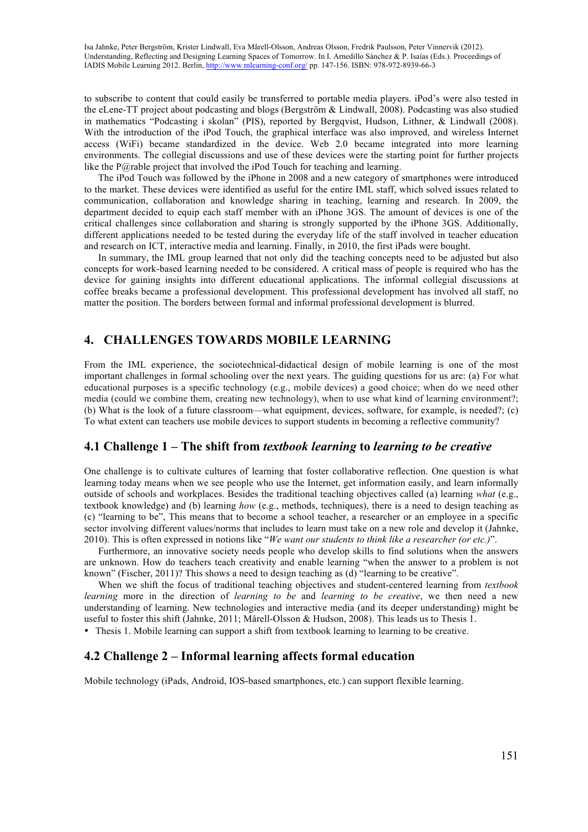to subscribe to content that could easily be transferred to portable media players. iPod's were also tested in the eLene-TT project about podcasting and blogs (Bergström & Lindwall, 2008). Podcasting was also studied in mathematics "Podcasting i skolan" (PIS), reported by Bergqvist, Hudson, Lithner, & Lindwall (2008). With the introduction of the iPod Touch, the graphical interface was also improved, and wireless Internet access (WiFi) became standardized in the device. Web 2.0 became integrated into more learning environments. The collegial discussions and use of these devices were the starting point for further projects like the P $@$ rable project that involved the iPod Touch for teaching and learning.

The iPod Touch was followed by the iPhone in 2008 and a new category of smartphones were introduced to the market. These devices were identified as useful for the entire IML staff, which solved issues related to communication, collaboration and knowledge sharing in teaching, learning and research. In 2009, the department decided to equip each staff member with an iPhone 3GS. The amount of devices is one of the critical challenges since collaboration and sharing is strongly supported by the iPhone 3GS. Additionally, different applications needed to be tested during the everyday life of the staff involved in teacher education and research on ICT, interactive media and learning. Finally, in 2010, the first iPads were bought.

In summary, the IML group learned that not only did the teaching concepts need to be adjusted but also concepts for work-based learning needed to be considered. A critical mass of people is required who has the device for gaining insights into different educational applications. The informal collegial discussions at coffee breaks became a professional development. This professional development has involved all staff, no matter the position. The borders between formal and informal professional development is blurred.

# **4. CHALLENGES TOWARDS MOBILE LEARNING**

From the IML experience, the sociotechnical-didactical design of mobile learning is one of the most important challenges in formal schooling over the next years. The guiding questions for us are: (a) For what educational purposes is a specific technology (e.g., mobile devices) a good choice; when do we need other media (could we combine them, creating new technology), when to use what kind of learning environment?; (b) What is the look of a future classroom—what equipment, devices, software, for example, is needed?; (c) To what extent can teachers use mobile devices to support students in becoming a reflective community?

### **4.1 Challenge 1 – The shift from** *textbook learning* **to** *learning to be creative*

One challenge is to cultivate cultures of learning that foster collaborative reflection. One question is what learning today means when we see people who use the Internet, get information easily, and learn informally outside of schools and workplaces. Besides the traditional teaching objectives called (a) learning *what* (e.g., textbook knowledge) and (b) learning *how* (e.g., methods, techniques), there is a need to design teaching as (c) "learning to be", This means that to become a school teacher, a researcher or an employee in a specific sector involving different values/norms that includes to learn must take on a new role and develop it (Jahnke, 2010). This is often expressed in notions like "*We want our students to think like a researcher (or etc.)*".

Furthermore, an innovative society needs people who develop skills to find solutions when the answers are unknown. How do teachers teach creativity and enable learning "when the answer to a problem is not known" (Fischer, 2011)? This shows a need to design teaching as (d) "learning to be creative".

When we shift the focus of traditional teaching objectives and student-centered learning from *textbook learning* more in the direction of *learning to be* and *learning to be creative*, we then need a new understanding of learning. New technologies and interactive media (and its deeper understanding) might be useful to foster this shift (Jahnke, 2011; Mårell-Olsson & Hudson, 2008). This leads us to Thesis 1.

• Thesis 1. Mobile learning can support a shift from textbook learning to learning to be creative.

### **4.2 Challenge 2 – Informal learning affects formal education**

Mobile technology (iPads, Android, IOS-based smartphones, etc.) can support flexible learning.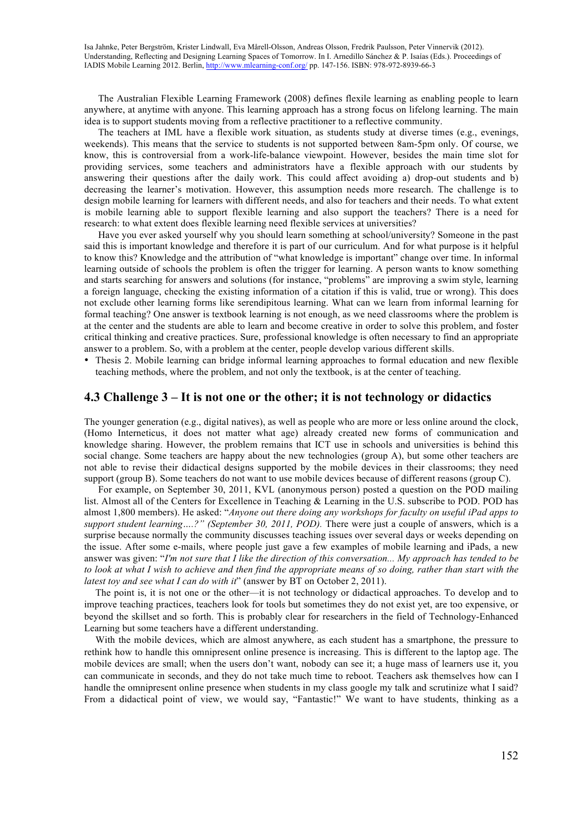The Australian Flexible Learning Framework (2008) defines flexile learning as enabling people to learn anywhere, at anytime with anyone. This learning approach has a strong focus on lifelong learning. The main idea is to support students moving from a reflective practitioner to a reflective community.

The teachers at IML have a flexible work situation, as students study at diverse times (e.g., evenings, weekends). This means that the service to students is not supported between 8am-5pm only. Of course, we know, this is controversial from a work-life-balance viewpoint. However, besides the main time slot for providing services, some teachers and administrators have a flexible approach with our students by answering their questions after the daily work. This could affect avoiding a) drop-out students and b) decreasing the learner's motivation. However, this assumption needs more research. The challenge is to design mobile learning for learners with different needs, and also for teachers and their needs. To what extent is mobile learning able to support flexible learning and also support the teachers? There is a need for research: to what extent does flexible learning need flexible services at universities?

Have you ever asked yourself why you should learn something at school/university? Someone in the past said this is important knowledge and therefore it is part of our curriculum. And for what purpose is it helpful to know this? Knowledge and the attribution of "what knowledge is important" change over time. In informal learning outside of schools the problem is often the trigger for learning. A person wants to know something and starts searching for answers and solutions (for instance, "problems" are improving a swim style, learning a foreign language, checking the existing information of a citation if this is valid, true or wrong). This does not exclude other learning forms like serendipitous learning. What can we learn from informal learning for formal teaching? One answer is textbook learning is not enough, as we need classrooms where the problem is at the center and the students are able to learn and become creative in order to solve this problem, and foster critical thinking and creative practices. Sure, professional knowledge is often necessary to find an appropriate answer to a problem. So, with a problem at the center, people develop various different skills.

• Thesis 2. Mobile learning can bridge informal learning approaches to formal education and new flexible teaching methods, where the problem, and not only the textbook, is at the center of teaching.

#### **4.3 Challenge 3 – It is not one or the other; it is not technology or didactics**

The younger generation (e.g., digital natives), as well as people who are more or less online around the clock, (Homo Interneticus, it does not matter what age) already created new forms of communication and knowledge sharing. However, the problem remains that ICT use in schools and universities is behind this social change. Some teachers are happy about the new technologies (group A), but some other teachers are not able to revise their didactical designs supported by the mobile devices in their classrooms; they need support (group B). Some teachers do not want to use mobile devices because of different reasons (group C).

For example, on September 30, 2011, KVL (anonymous person) posted a question on the POD mailing list. Almost all of the Centers for Excellence in Teaching & Learning in the U.S. subscribe to POD. POD has almost 1,800 members). He asked: "*Anyone out there doing any workshops for faculty on useful iPad apps to support student learning….?" (September 30, 2011, POD).* There were just a couple of answers, which is a surprise because normally the community discusses teaching issues over several days or weeks depending on the issue. After some e-mails, where people just gave a few examples of mobile learning and iPads, a new answer was given: "*I'm not sure that I like the direction of this conversation... My approach has tended to be to look at what I wish to achieve and then find the appropriate means of so doing, rather than start with the latest toy and see what I can do with it*" (answer by BT on October 2, 2011).

The point is, it is not one or the other—it is not technology or didactical approaches. To develop and to improve teaching practices, teachers look for tools but sometimes they do not exist yet, are too expensive, or beyond the skillset and so forth. This is probably clear for researchers in the field of Technology-Enhanced Learning but some teachers have a different understanding.

With the mobile devices, which are almost anywhere, as each student has a smartphone, the pressure to rethink how to handle this omnipresent online presence is increasing. This is different to the laptop age. The mobile devices are small; when the users don't want, nobody can see it; a huge mass of learners use it, you can communicate in seconds, and they do not take much time to reboot. Teachers ask themselves how can I handle the omnipresent online presence when students in my class google my talk and scrutinize what I said? From a didactical point of view, we would say, "Fantastic!" We want to have students, thinking as a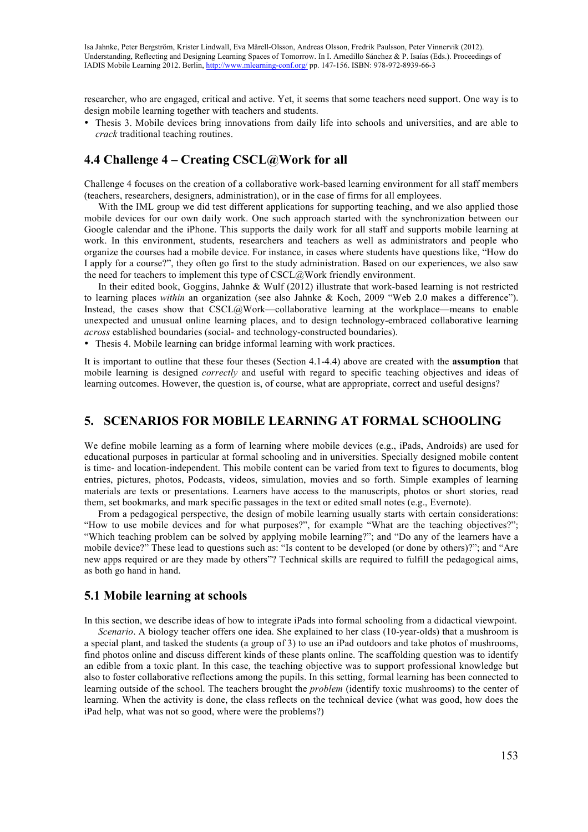researcher, who are engaged, critical and active. Yet, it seems that some teachers need support. One way is to design mobile learning together with teachers and students.

• Thesis 3. Mobile devices bring innovations from daily life into schools and universities, and are able to *crack* traditional teaching routines.

# **4.4 Challenge 4 – Creating CSCL@Work for all**

Challenge 4 focuses on the creation of a collaborative work-based learning environment for all staff members (teachers, researchers, designers, administration), or in the case of firms for all employees.

With the IML group we did test different applications for supporting teaching, and we also applied those mobile devices for our own daily work. One such approach started with the synchronization between our Google calendar and the iPhone. This supports the daily work for all staff and supports mobile learning at work. In this environment, students, researchers and teachers as well as administrators and people who organize the courses had a mobile device. For instance, in cases where students have questions like, "How do I apply for a course?", they often go first to the study administration. Based on our experiences, we also saw the need for teachers to implement this type of CSCL@Work friendly environment.

In their edited book, Goggins, Jahnke & Wulf (2012) illustrate that work-based learning is not restricted to learning places *within* an organization (see also Jahnke & Koch, 2009 "Web 2.0 makes a difference"). Instead, the cases show that  $\text{C}\text{S}\text{CL}(\hat{a})$ Work—collaborative learning at the workplace—means to enable unexpected and unusual online learning places, and to design technology-embraced collaborative learning *across* established boundaries (social- and technology-constructed boundaries).

• Thesis 4. Mobile learning can bridge informal learning with work practices.

It is important to outline that these four theses (Section 4.1-4.4) above are created with the **assumption** that mobile learning is designed *correctly* and useful with regard to specific teaching objectives and ideas of learning outcomes. However, the question is, of course, what are appropriate, correct and useful designs?

# **5. SCENARIOS FOR MOBILE LEARNING AT FORMAL SCHOOLING**

We define mobile learning as a form of learning where mobile devices (e.g., iPads, Androids) are used for educational purposes in particular at formal schooling and in universities. Specially designed mobile content is time- and location-independent. This mobile content can be varied from text to figures to documents, blog entries, pictures, photos, Podcasts, videos, simulation, movies and so forth. Simple examples of learning materials are texts or presentations. Learners have access to the manuscripts, photos or short stories, read them, set bookmarks, and mark specific passages in the text or edited small notes (e.g., Evernote).

From a pedagogical perspective, the design of mobile learning usually starts with certain considerations: "How to use mobile devices and for what purposes?", for example "What are the teaching objectives?"; "Which teaching problem can be solved by applying mobile learning?"; and "Do any of the learners have a mobile device?" These lead to questions such as: "Is content to be developed (or done by others)?"; and "Are new apps required or are they made by others"? Technical skills are required to fulfill the pedagogical aims, as both go hand in hand.

#### **5.1 Mobile learning at schools**

In this section, we describe ideas of how to integrate iPads into formal schooling from a didactical viewpoint.

*Scenario*. A biology teacher offers one idea. She explained to her class (10-year-olds) that a mushroom is a special plant, and tasked the students (a group of 3) to use an iPad outdoors and take photos of mushrooms, find photos online and discuss different kinds of these plants online. The scaffolding question was to identify an edible from a toxic plant. In this case, the teaching objective was to support professional knowledge but also to foster collaborative reflections among the pupils. In this setting, formal learning has been connected to learning outside of the school. The teachers brought the *problem* (identify toxic mushrooms) to the center of learning. When the activity is done, the class reflects on the technical device (what was good, how does the iPad help, what was not so good, where were the problems?)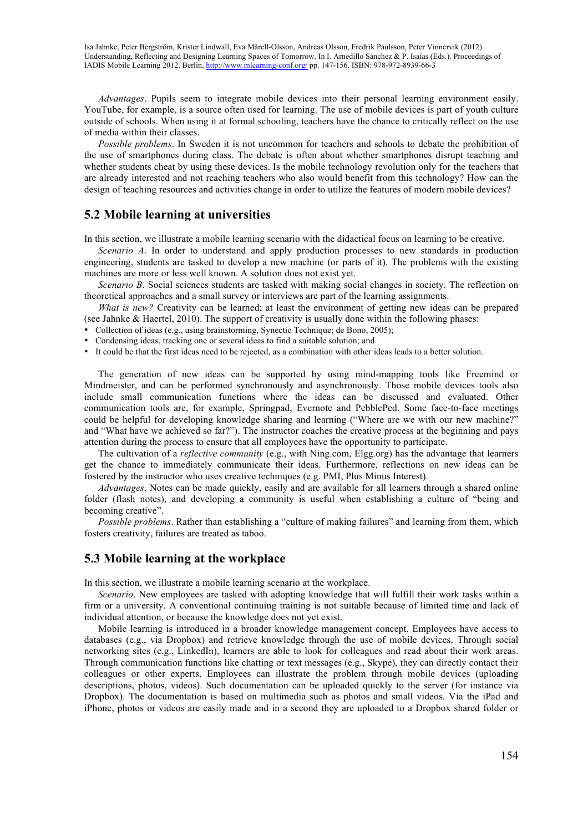*Advantages*. Pupils seem to integrate mobile devices into their personal learning environment easily. YouTube, for example, is a source often used for learning. The use of mobile devices is part of youth culture outside of schools. When using it at formal schooling, teachers have the chance to critically reflect on the use of media within their classes.

*Possible problems*. In Sweden it is not uncommon for teachers and schools to debate the prohibition of the use of smartphones during class. The debate is often about whether smartphones disrupt teaching and whether students cheat by using these devices. Is the mobile technology revolution only for the teachers that are already interested and not reaching teachers who also would benefit from this technology? How can the design of teaching resources and activities change in order to utilize the features of modern mobile devices?

# **5.2 Mobile learning at universities**

In this section, we illustrate a mobile learning scenario with the didactical focus on learning to be creative.

*Scenario A*. In order to understand and apply production processes to new standards in production engineering, students are tasked to develop a new machine (or parts of it). The problems with the existing machines are more or less well known. A solution does not exist yet.

*Scenario B*. Social sciences students are tasked with making social changes in society. The reflection on theoretical approaches and a small survey or interviews are part of the learning assignments.

*What is new?* Creativity can be learned; at least the environment of getting new ideas can be prepared (see Jahnke & Haertel, 2010). The support of creativity is usually done within the following phases:

• Collection of ideas (e.g., using brainstorming, Synectic Technique; de Bono, 2005);

- Condensing ideas, tracking one or several ideas to find a suitable solution; and
- It could be that the first ideas need to be rejected, as a combination with other ideas leads to a better solution.

The generation of new ideas can be supported by using mind-mapping tools like Freemind or Mindmeister, and can be performed synchronously and asynchronously. Those mobile devices tools also include small communication functions where the ideas can be discussed and evaluated. Other communication tools are, for example, Springpad, Evernote and PebblePed. Some face-to-face meetings could be helpful for developing knowledge sharing and learning ("Where are we with our new machine?" and "What have we achieved so far?"). The instructor coaches the creative process at the beginning and pays attention during the process to ensure that all employees have the opportunity to participate.

The cultivation of a *reflective community* (e.g., with Ning.com, Elgg.org) has the advantage that learners get the chance to immediately communicate their ideas. Furthermore, reflections on new ideas can be fostered by the instructor who uses creative techniques (e.g. PMI, Plus Minus Interest).

*Advantages*. Notes can be made quickly, easily and are available for all learners through a shared online folder (flash notes), and developing a community is useful when establishing a culture of "being and becoming creative".

*Possible problems*. Rather than establishing a "culture of making failures" and learning from them, which fosters creativity, failures are treated as taboo.

#### **5.3 Mobile learning at the workplace**

In this section, we illustrate a mobile learning scenario at the workplace.

*Scenario*. New employees are tasked with adopting knowledge that will fulfill their work tasks within a firm or a university. A conventional continuing training is not suitable because of limited time and lack of individual attention, or because the knowledge does not yet exist.

Mobile learning is introduced in a broader knowledge management concept. Employees have access to databases (e.g., via Dropbox) and retrieve knowledge through the use of mobile devices. Through social networking sites (e.g., LinkedIn), learners are able to look for colleagues and read about their work areas. Through communication functions like chatting or text messages (e.g., Skype), they can directly contact their colleagues or other experts. Employees can illustrate the problem through mobile devices (uploading descriptions, photos, videos). Such documentation can be uploaded quickly to the server (for instance via Dropbox). The documentation is based on multimedia such as photos and small videos. Via the iPad and iPhone, photos or videos are easily made and in a second they are uploaded to a Dropbox shared folder or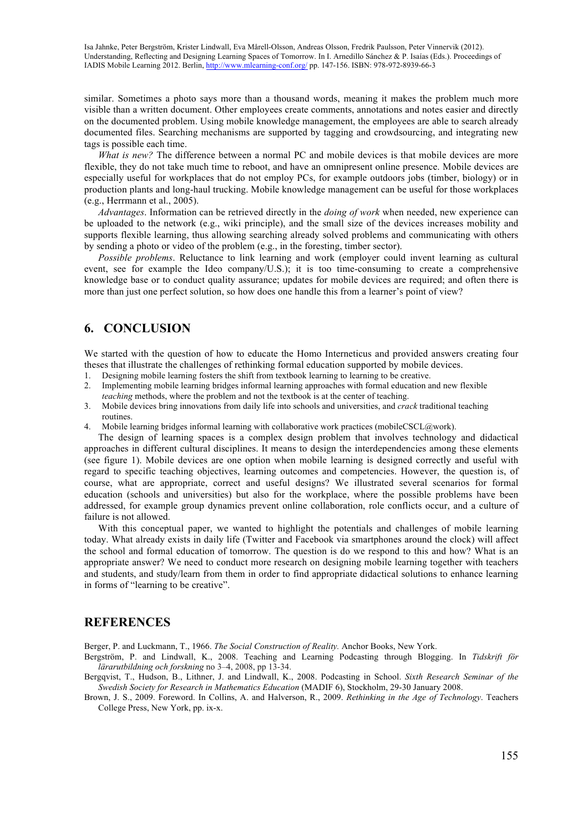similar. Sometimes a photo says more than a thousand words, meaning it makes the problem much more visible than a written document. Other employees create comments, annotations and notes easier and directly on the documented problem. Using mobile knowledge management, the employees are able to search already documented files. Searching mechanisms are supported by tagging and crowdsourcing, and integrating new tags is possible each time.

*What is new?* The difference between a normal PC and mobile devices is that mobile devices are more flexible, they do not take much time to reboot, and have an omnipresent online presence. Mobile devices are especially useful for workplaces that do not employ PCs, for example outdoors jobs (timber, biology) or in production plants and long-haul trucking. Mobile knowledge management can be useful for those workplaces (e.g., Herrmann et al., 2005).

*Advantages*. Information can be retrieved directly in the *doing of work* when needed, new experience can be uploaded to the network (e.g., wiki principle), and the small size of the devices increases mobility and supports flexible learning, thus allowing searching already solved problems and communicating with others by sending a photo or video of the problem (e.g., in the foresting, timber sector).

*Possible problems*. Reluctance to link learning and work (employer could invent learning as cultural event, see for example the Ideo company/U.S.); it is too time-consuming to create a comprehensive knowledge base or to conduct quality assurance; updates for mobile devices are required; and often there is more than just one perfect solution, so how does one handle this from a learner's point of view?

# **6. CONCLUSION**

We started with the question of how to educate the Homo Interneticus and provided answers creating four theses that illustrate the challenges of rethinking formal education supported by mobile devices.

- 1. Designing mobile learning fosters the shift from textbook learning to learning to be creative.
- 2. Implementing mobile learning bridges informal learning approaches with formal education and new flexible *teaching* methods, where the problem and not the textbook is at the center of teaching.
- 3. Mobile devices bring innovations from daily life into schools and universities, and *crack* traditional teaching routines.
- 4. Mobile learning bridges informal learning with collaborative work practices (mobileCSCL $@$ work).

The design of learning spaces is a complex design problem that involves technology and didactical approaches in different cultural disciplines. It means to design the interdependencies among these elements (see figure 1). Mobile devices are one option when mobile learning is designed correctly and useful with regard to specific teaching objectives, learning outcomes and competencies. However, the question is, of course, what are appropriate, correct and useful designs? We illustrated several scenarios for formal education (schools and universities) but also for the workplace, where the possible problems have been addressed, for example group dynamics prevent online collaboration, role conflicts occur, and a culture of failure is not allowed.

With this conceptual paper, we wanted to highlight the potentials and challenges of mobile learning today. What already exists in daily life (Twitter and Facebook via smartphones around the clock) will affect the school and formal education of tomorrow. The question is do we respond to this and how? What is an appropriate answer? We need to conduct more research on designing mobile learning together with teachers and students, and study/learn from them in order to find appropriate didactical solutions to enhance learning in forms of "learning to be creative".

### **REFERENCES**

Berger, P. and Luckmann, T., 1966. *The Social Construction of Reality.* Anchor Books, New York.

- Bergström, P. and Lindwall, K., 2008. Teaching and Learning Podcasting through Blogging. In *Tidskrift för lärarutbildning och forskning* no 3–4, 2008, pp 13-34.
- Bergqvist, T., Hudson, B., Lithner, J. and Lindwall, K., 2008. Podcasting in School. *Sixth Research Seminar of the Swedish Society for Research in Mathematics Education* (MADIF 6), Stockholm, 29-30 January 2008.
- Brown, J. S., 2009. Foreword. In Collins, A. and Halverson, R., 2009. *Rethinking in the Age of Technology*. Teachers College Press, New York, pp. ix-x.